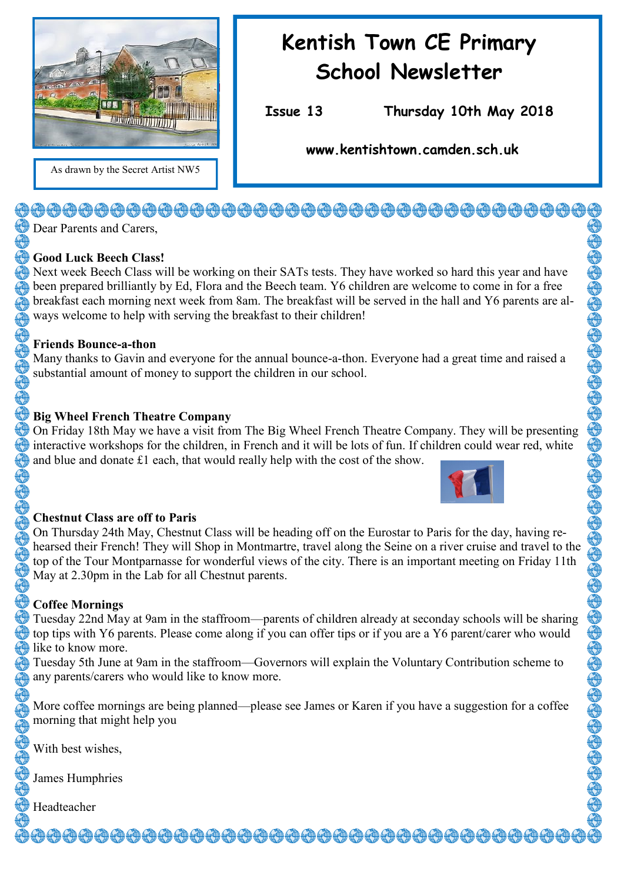

As drawn by the Secret Artist NW5

# **Kentish Town CE Primary School Newsletter**

**Issue 13 Thursday 10th May 2018** 

**www.kentishtown.camden.sch.uk** 

## \<del>෯෯෯෯෯෯෯෯෯෯෯෯෯෯෯෯෯෯෯෯෯෯෯෯෯෯෯෯෯෯</del>෯෯෯

Dear Parents and Carers.

#### **Good Luck Beech Class!**

Next week Beech Class will be working on their SATs tests. They have worked so hard this year and have been prepared brilliantly by Ed, Flora and the Beech team. Y6 children are welcome to come in for a free breakfast each morning next week from 8am. The breakfast will be served in the hall and Y6 parents are always welcome to help with serving the breakfast to their children!

#### **Friends Bounce-a-thon**

Many thanks to Gavin and everyone for the annual bounce-a-thon. Everyone had a great time and raised a substantial amount of money to support the children in our school.

#### **Big Wheel French Theatre Company**

On Friday 18th May we have a visit from The Big Wheel French Theatre Company. They will be presenting interactive workshops for the children, in French and it will be lots of fun. If children could wear red, white and blue and donate £1 each, that would really help with the cost of the show.



#### **Chestnut Class are off to Paris**

On Thursday 24th May, Chestnut Class will be heading off on the Eurostar to Paris for the day, having rehearsed their French! They will Shop in Montmartre, travel along the Seine on a river cruise and travel to the top of the Tour Montparnasse for wonderful views of the city. There is an important meeting on Friday 11th May at 2.30pm in the Lab for all Chestnut parents.

#### **Coffee Mornings**

Tuesday 22nd May at 9am in the staffroom—parents of children already at seconday schools will be sharing top tips with Y6 parents. Please come along if you can offer tips or if you are a Y6 parent/carer who would like to know more.

Tuesday 5th June at 9am in the staffroom—Governors will explain the Voluntary Contribution scheme to any parents/carers who would like to know more.

More coffee mornings are being planned—please see James or Karen if you have a suggestion for a coffee morning that might help you

With best wishes,

James Humphries

Headteacher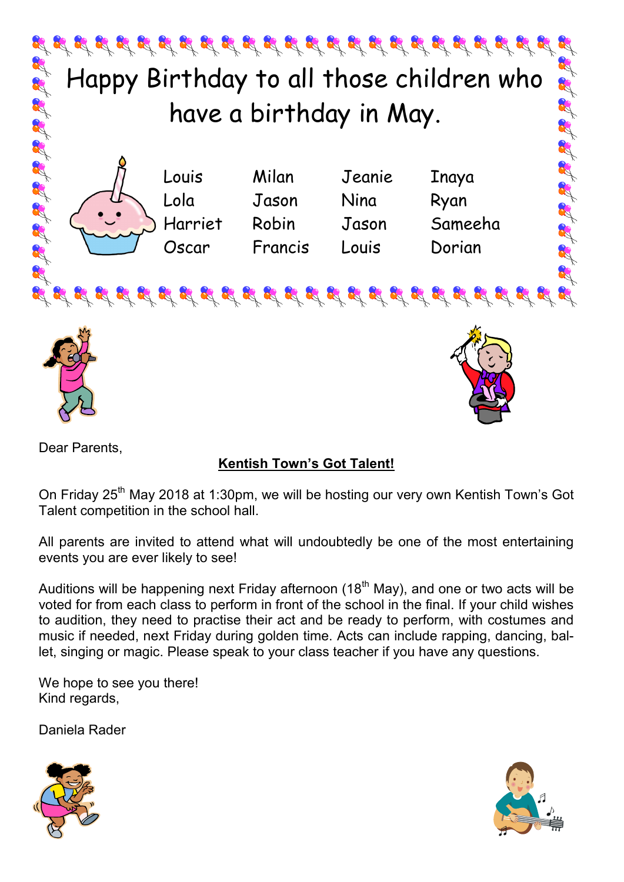

Dear Parents,

### **Kentish Town's Got Talent!**

On Friday 25<sup>th</sup> May 2018 at 1:30pm, we will be hosting our very own Kentish Town's Got Talent competition in the school hall.

All parents are invited to attend what will undoubtedly be one of the most entertaining events you are ever likely to see!

Auditions will be happening next Friday afternoon (18<sup>th</sup> May), and one or two acts will be voted for from each class to perform in front of the school in the final. If your child wishes to audition, they need to practise their act and be ready to perform, with costumes and music if needed, next Friday during golden time. Acts can include rapping, dancing, ballet, singing or magic. Please speak to your class teacher if you have any questions.

We hope to see you there! Kind regards,

Daniela Rader